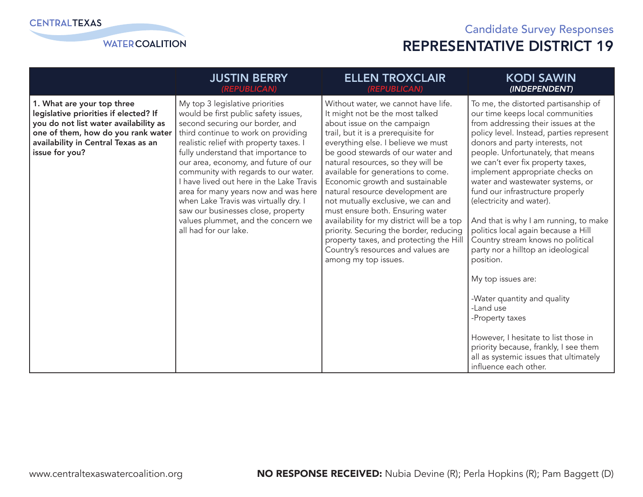

|                                                                                                                                                                                                             | <b>JUSTIN BERRY</b>                                                                                                                                                                                                                                                                                                                                                                                                                                                                                                                                   | <b>ELLEN TROXCLAIR</b>                                                                                                                                                                                                                                                                                                                                                                                                                                                                                                                                                                                                                                 | <b>KODI SAWIN</b>                                                                                                                                                                                                                                                                                                                                                                                                                                                                                                                                                                                                                                                                                                                                                                                                                |
|-------------------------------------------------------------------------------------------------------------------------------------------------------------------------------------------------------------|-------------------------------------------------------------------------------------------------------------------------------------------------------------------------------------------------------------------------------------------------------------------------------------------------------------------------------------------------------------------------------------------------------------------------------------------------------------------------------------------------------------------------------------------------------|--------------------------------------------------------------------------------------------------------------------------------------------------------------------------------------------------------------------------------------------------------------------------------------------------------------------------------------------------------------------------------------------------------------------------------------------------------------------------------------------------------------------------------------------------------------------------------------------------------------------------------------------------------|----------------------------------------------------------------------------------------------------------------------------------------------------------------------------------------------------------------------------------------------------------------------------------------------------------------------------------------------------------------------------------------------------------------------------------------------------------------------------------------------------------------------------------------------------------------------------------------------------------------------------------------------------------------------------------------------------------------------------------------------------------------------------------------------------------------------------------|
|                                                                                                                                                                                                             | (REPUBLICAN)                                                                                                                                                                                                                                                                                                                                                                                                                                                                                                                                          | (REPUBLICAN)                                                                                                                                                                                                                                                                                                                                                                                                                                                                                                                                                                                                                                           | (INDEPENDENT)                                                                                                                                                                                                                                                                                                                                                                                                                                                                                                                                                                                                                                                                                                                                                                                                                    |
| 1. What are your top three<br>legislative priorities if elected? If<br>you do not list water availability as<br>one of them, how do you rank water<br>availability in Central Texas as an<br>issue for you? | My top 3 legislative priorities<br>would be first public safety issues,<br>second securing our border, and<br>third continue to work on providing<br>realistic relief with property taxes. I<br>fully understand that importance to<br>our area, economy, and future of our<br>community with regards to our water.<br>I have lived out here in the Lake Travis<br>area for many years now and was here<br>when Lake Travis was virtually dry. I<br>saw our businesses close, property<br>values plummet, and the concern we<br>all had for our lake. | Without water, we cannot have life.<br>It might not be the most talked<br>about issue on the campaign<br>trail, but it is a prerequisite for<br>everything else. I believe we must<br>be good stewards of our water and<br>natural resources, so they will be<br>available for generations to come.<br>Economic growth and sustainable<br>natural resource development are<br>not mutually exclusive, we can and<br>must ensure both. Ensuring water<br>availability for my district will be a top<br>priority. Securing the border, reducing<br>property taxes, and protecting the Hill<br>Country's resources and values are<br>among my top issues. | To me, the distorted partisanship of<br>our time keeps local communities<br>from addressing their issues at the<br>policy level. Instead, parties represent<br>donors and party interests, not<br>people. Unfortunately, that means<br>we can't ever fix property taxes,<br>implement appropriate checks on<br>water and wastewater systems, or<br>fund our infrastructure properly<br>(electricity and water).<br>And that is why I am running, to make<br>politics local again because a Hill<br>Country stream knows no political<br>party nor a hilltop an ideological<br>position.<br>My top issues are:<br>-Water quantity and quality<br>-Land use<br>-Property taxes<br>However, I hesitate to list those in<br>priority because, frankly, I see them<br>all as systemic issues that ultimately<br>influence each other. |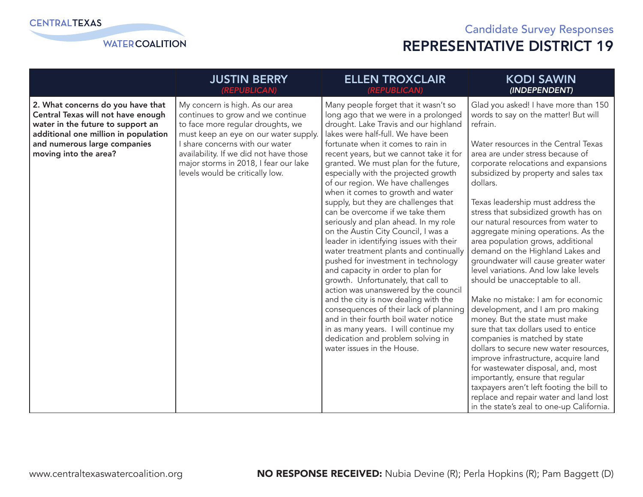

|                                                                                                                                                                                                               | <b>JUSTIN BERRY</b>                                                                                                                                                                                                                                                                                         | <b>ELLEN TROXCLAIR</b>                                                                                                                                                                                                                                                                                                                                                                                                                                                                                                                                                                                                                                                                                                                                                                                                                                                                                                                                                                                                                                  | <b>KODI SAWIN</b>                                                                                                                                                                                                                                                                                                                                                                                                                                                                                                                                                                                                                                                                                                                                                                                                                                                                                                                                                                                                                                                                                            |
|---------------------------------------------------------------------------------------------------------------------------------------------------------------------------------------------------------------|-------------------------------------------------------------------------------------------------------------------------------------------------------------------------------------------------------------------------------------------------------------------------------------------------------------|---------------------------------------------------------------------------------------------------------------------------------------------------------------------------------------------------------------------------------------------------------------------------------------------------------------------------------------------------------------------------------------------------------------------------------------------------------------------------------------------------------------------------------------------------------------------------------------------------------------------------------------------------------------------------------------------------------------------------------------------------------------------------------------------------------------------------------------------------------------------------------------------------------------------------------------------------------------------------------------------------------------------------------------------------------|--------------------------------------------------------------------------------------------------------------------------------------------------------------------------------------------------------------------------------------------------------------------------------------------------------------------------------------------------------------------------------------------------------------------------------------------------------------------------------------------------------------------------------------------------------------------------------------------------------------------------------------------------------------------------------------------------------------------------------------------------------------------------------------------------------------------------------------------------------------------------------------------------------------------------------------------------------------------------------------------------------------------------------------------------------------------------------------------------------------|
|                                                                                                                                                                                                               | (REPUBLICAN)                                                                                                                                                                                                                                                                                                | (REPUBLICAN)                                                                                                                                                                                                                                                                                                                                                                                                                                                                                                                                                                                                                                                                                                                                                                                                                                                                                                                                                                                                                                            | (INDEPENDENT)                                                                                                                                                                                                                                                                                                                                                                                                                                                                                                                                                                                                                                                                                                                                                                                                                                                                                                                                                                                                                                                                                                |
| 2. What concerns do you have that<br>Central Texas will not have enough<br>water in the future to support an<br>additional one million in population<br>and numerous large companies<br>moving into the area? | My concern is high. As our area<br>continues to grow and we continue<br>to face more regular droughts, we<br>must keep an eye on our water supply.<br>I share concerns with our water<br>availability. If we did not have those<br>major storms in 2018, I fear our lake<br>levels would be critically low. | Many people forget that it wasn't so<br>long ago that we were in a prolonged<br>drought. Lake Travis and our highland<br>lakes were half-full. We have been<br>fortunate when it comes to rain in<br>recent years, but we cannot take it for<br>granted. We must plan for the future,<br>especially with the projected growth<br>of our region. We have challenges<br>when it comes to growth and water<br>supply, but they are challenges that<br>can be overcome if we take them<br>seriously and plan ahead. In my role<br>on the Austin City Council, I was a<br>leader in identifying issues with their<br>water treatment plants and continually<br>pushed for investment in technology<br>and capacity in order to plan for<br>growth. Unfortunately, that call to<br>action was unanswered by the council<br>and the city is now dealing with the<br>consequences of their lack of planning<br>and in their fourth boil water notice<br>in as many years. I will continue my<br>dedication and problem solving in<br>water issues in the House. | Glad you asked! I have more than 150<br>words to say on the matter! But will<br>refrain.<br>Water resources in the Central Texas<br>area are under stress because of<br>corporate relocations and expansions<br>subsidized by property and sales tax<br>dollars.<br>Texas leadership must address the<br>stress that subsidized growth has on<br>our natural resources from water to<br>aggregate mining operations. As the<br>area population grows, additional<br>demand on the Highland Lakes and<br>groundwater will cause greater water<br>level variations. And low lake levels<br>should be unacceptable to all.<br>Make no mistake: I am for economic<br>development, and I am pro making<br>money. But the state must make<br>sure that tax dollars used to entice<br>companies is matched by state<br>dollars to secure new water resources,<br>improve infrastructure, acquire land<br>for wastewater disposal, and, most<br>importantly, ensure that regular<br>taxpayers aren't left footing the bill to<br>replace and repair water and land lost<br>in the state's zeal to one-up California. |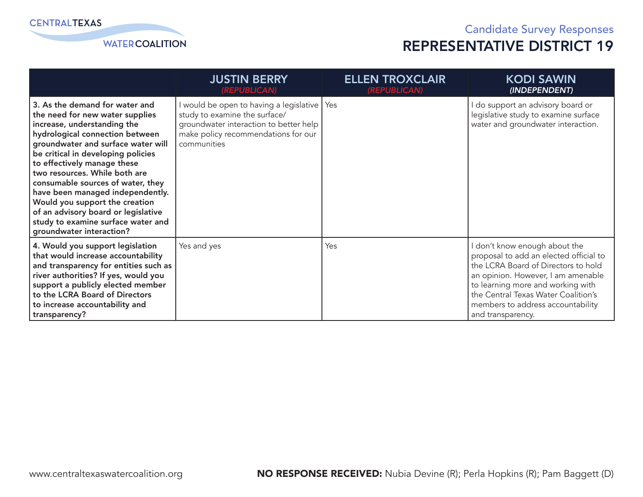

|                                                                                                                                                                                                                                                                                                                                                                                                                                                                                                     | <b>JUSTIN BERRY</b><br>(REPUBLICAN)                                                                                                                                            | <b>ELLEN TROXCLAIR</b><br>(REPUBLICAN) | <b>KODI SAWIN</b><br>(INDEPENDENT)                                                                                                                                                                                                                                                       |
|-----------------------------------------------------------------------------------------------------------------------------------------------------------------------------------------------------------------------------------------------------------------------------------------------------------------------------------------------------------------------------------------------------------------------------------------------------------------------------------------------------|--------------------------------------------------------------------------------------------------------------------------------------------------------------------------------|----------------------------------------|------------------------------------------------------------------------------------------------------------------------------------------------------------------------------------------------------------------------------------------------------------------------------------------|
| 3. As the demand for water and<br>the need for new water supplies<br>increase, understanding the<br>hydrological connection between<br>groundwater and surface water will<br>be critical in developing policies<br>to effectively manage these<br>two resources. While both are<br>consumable sources of water, they<br>have been managed independently.<br>Would you support the creation<br>of an advisory board or legislative<br>study to examine surface water and<br>groundwater interaction? | I would be open to having a legislative   Yes<br>study to examine the surface/<br>groundwater interaction to better help<br>make policy recommendations for our<br>communities |                                        | do support an advisory board or<br>legislative study to examine surface<br>water and groundwater interaction.                                                                                                                                                                            |
| 4. Would you support legislation<br>that would increase accountability<br>and transparency for entities such as<br>river authorities? If yes, would you<br>support a publicly elected member<br>to the LCRA Board of Directors<br>to increase accountability and<br>transparency?                                                                                                                                                                                                                   | Yes and yes                                                                                                                                                                    | Yes                                    | don't know enough about the<br>proposal to add an elected official to<br>the LCRA Board of Directors to hold<br>an opinion. However, I am amenable<br>to learning more and working with<br>the Central Texas Water Coalition's<br>members to address accountability<br>and transparency. |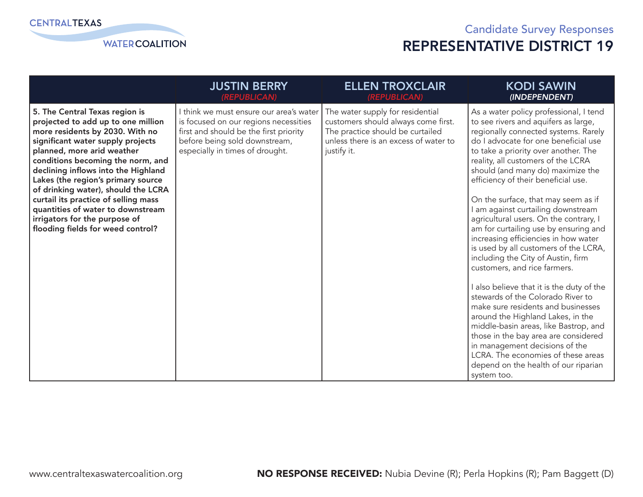**WATER COALITION** 

|                                                                                                                                                                                                                                                                                                                                                                                                                                                                                        | <b>JUSTIN BERRY</b>                                                                                                                                                                            | <b>ELLEN TROXCLAIR</b>                                                                                                                                              | <b>KODI SAWIN</b>                                                                                                                                                                                                                                                                                                                                                                                                                                                                                                                                                                                                                                                                                                                                                                                                                                                                                                                                                                                                            |
|----------------------------------------------------------------------------------------------------------------------------------------------------------------------------------------------------------------------------------------------------------------------------------------------------------------------------------------------------------------------------------------------------------------------------------------------------------------------------------------|------------------------------------------------------------------------------------------------------------------------------------------------------------------------------------------------|---------------------------------------------------------------------------------------------------------------------------------------------------------------------|------------------------------------------------------------------------------------------------------------------------------------------------------------------------------------------------------------------------------------------------------------------------------------------------------------------------------------------------------------------------------------------------------------------------------------------------------------------------------------------------------------------------------------------------------------------------------------------------------------------------------------------------------------------------------------------------------------------------------------------------------------------------------------------------------------------------------------------------------------------------------------------------------------------------------------------------------------------------------------------------------------------------------|
|                                                                                                                                                                                                                                                                                                                                                                                                                                                                                        | (REPUBLICAN)                                                                                                                                                                                   | (REPUBLICAN)                                                                                                                                                        | (INDEPENDENT)                                                                                                                                                                                                                                                                                                                                                                                                                                                                                                                                                                                                                                                                                                                                                                                                                                                                                                                                                                                                                |
| 5. The Central Texas region is<br>projected to add up to one million<br>more residents by 2030. With no<br>significant water supply projects<br>planned, more arid weather<br>conditions becoming the norm, and<br>declining inflows into the Highland<br>Lakes (the region's primary source<br>of drinking water), should the LCRA<br>curtail its practice of selling mass<br>quantities of water to downstream<br>irrigators for the purpose of<br>flooding fields for weed control? | I think we must ensure our area's water<br>is focused on our regions necessities<br>first and should be the first priority<br>before being sold downstream,<br>especially in times of drought. | The water supply for residential<br>customers should always come first.<br>The practice should be curtailed<br>unless there is an excess of water to<br>justify it. | As a water policy professional, I tend<br>to see rivers and aquifers as large,<br>regionally connected systems. Rarely<br>do I advocate for one beneficial use<br>to take a priority over another. The<br>reality, all customers of the LCRA<br>should (and many do) maximize the<br>efficiency of their beneficial use.<br>On the surface, that may seem as if<br>I am against curtailing downstream<br>agricultural users. On the contrary, I<br>am for curtailing use by ensuring and<br>increasing efficiencies in how water<br>is used by all customers of the LCRA,<br>including the City of Austin, firm<br>customers, and rice farmers.<br>I also believe that it is the duty of the<br>stewards of the Colorado River to<br>make sure residents and businesses<br>around the Highland Lakes, in the<br>middle-basin areas, like Bastrop, and<br>those in the bay area are considered<br>in management decisions of the<br>LCRA. The economies of these areas<br>depend on the health of our riparian<br>system too. |